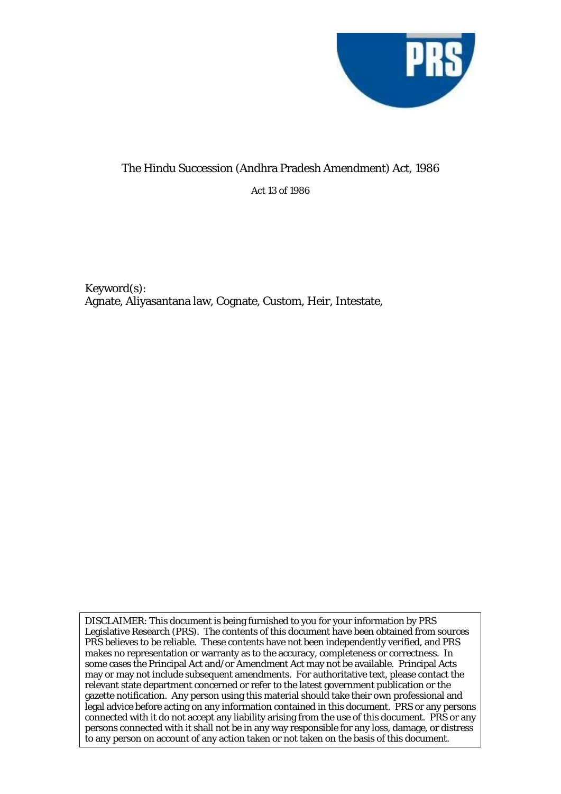

## The Hindu Succession (Andhra Pradesh Amendment) Act, 1986

Act 13 of 1986

Keyword(s): Agnate, Aliyasantana law, Cognate, Custom, Heir, Intestate,

DISCLAIMER: This document is being furnished to you for your information by PRS Legislative Research (PRS). The contents of this document have been obtained from sources PRS believes to be reliable. These contents have not been independently verified, and PRS makes no representation or warranty as to the accuracy, completeness or correctness. In some cases the Principal Act and/or Amendment Act may not be available. Principal Acts may or may not include subsequent amendments. For authoritative text, please contact the relevant state department concerned or refer to the latest government publication or the gazette notification. Any person using this material should take their own professional and legal advice before acting on any information contained in this document. PRS or any persons connected with it do not accept any liability arising from the use of this document. PRS or any persons connected with it shall not be in any way responsible for any loss, damage, or distress to any person on account of any action taken or not taken on the basis of this document.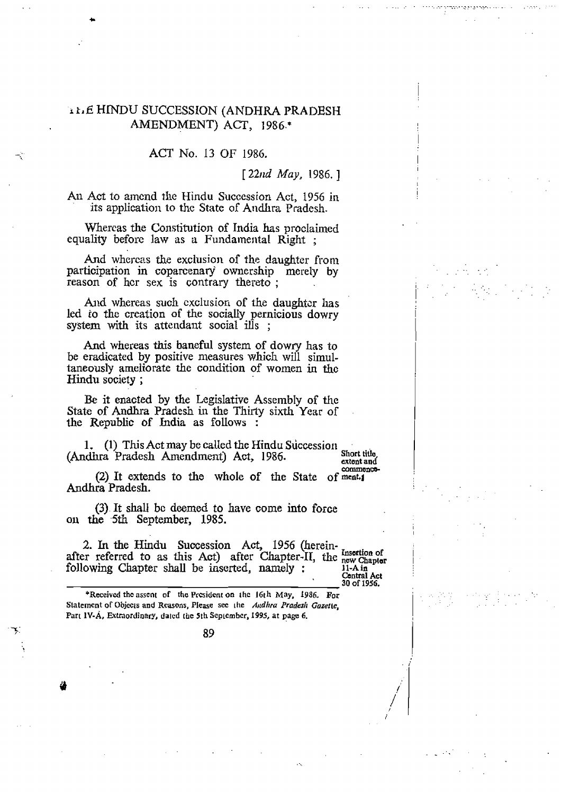## **<sup>I</sup>***r.* **E** HINDU SUCCESSION **(ANDHRA PRADESH AMENDMENT) ACT, 1 98** *6.\**

**ACT** No. 13 OF **1986.** 

[ *22trd May,* 1986. ]

**AII Act** to amend the Hindu **Succession Act,** 1956 in its application **to** the **State** of **Andhra** Pradcsh.

Whercas the Constitution of India **has** procIaimed equality before law as a Fundamental Right;

And whercas *the* **exclusion** of the daughter from participation in coparcenary' **ownership** merely **by**  reason of her sex is contrary thereto;

And **whereas** such exclusion **of the** daughtcr **has**  led **so** the creation **of** the socially **pernicious dowry system** with **its** attendant social ills ;

**And whereas this** baneful system **of dowry** has to be **eradicated by positive measures** which will simul**taneously** ameliorate **the** condition of women **in tfic Hindu society** ;

**Be** it **enacted by** the LegisIative AssernbIy **of** the **State** of **Andhra** Pradesh **in** the Thirly sixth **Year** of the **Republic** of **India as follows** :

**1. (1)** This Act may be called the Hindu Succession Short title.<br> **Act** 1986 **(Andhra Pradesh Amendment) Act, 1986.** Short tide catent and

commence-*(2)* **It extends to the whole of the** State of **meat.l Andhra Pradesh.** 

**(3).** It shall bc deemed to have come **into force**  on **the -5th September,** 1985.

**2. In the** Hindu **Succession Act,** 1956 (herein- **Insottion of** after **referred** *to* **as this Act) after Chapter-11, the Chaptar**  after referred to as this Act) after Chapter-11, the new Chapter<br>following Chapter shall be inserted, namely :<br>Central Act

*30* **of 1956.** 

'Received **the asscnl of thc Preiidcnt on i hc 16t** h **May, 1986 For**  Statement of Objects and Reasons, Please sec the *Audlira Pradesh Guzette*, **Part IY-A, Extraordinary, datcd** ~hc **5th Scplcmbcr, 1995. at page 6.** 

 $-$ 7. 89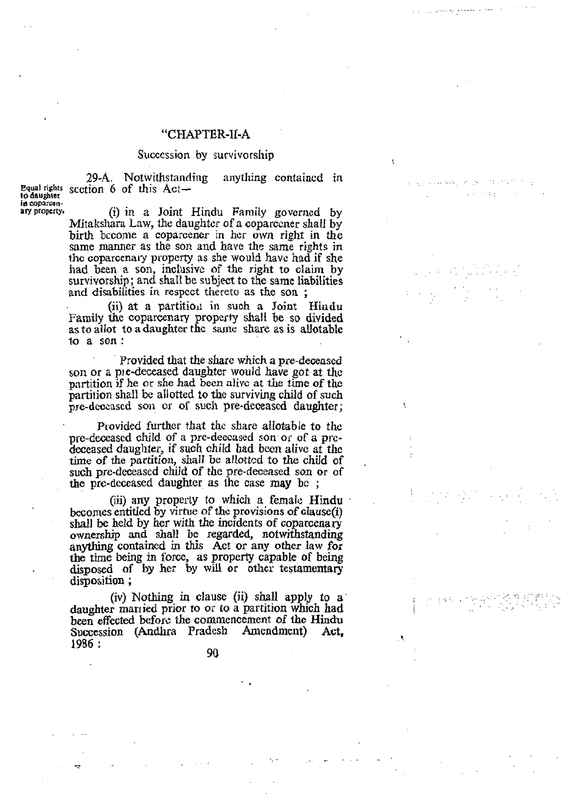## **"CHAPTER-II-A**

## Succession by survivorship

in coparcen-<br>ary property.

29-A. Notwithstanding anything contained in **Eqml rights scction** *6* of this *Act-* **to daughter** 

> **ary property\* (i) in** *a* **Joint** Hindu **Family govcrncd by**  Mitakshara Law, the daughter of a coparcener shall by birth become a coparcener in her own right in the same **manner as** the son and have the same rights **in the coparcenary property** as she **would** have had **if** she **had** been *E?* **son, inclusiv~** of the **right to claim** by survivorship ; and shaI1 be subject **to** the same **liabilities**  and book is body about the discrepance of the same liabilities in respect thereto as the son;

> (ii) **at a partiti011** in such **a** Joint **Biudu Family** the **coparcenary property shall** be **so divided as** *to* **allot** to **a daughter thc saw share as is ahtable to** a **son** :

> Provided that the share which a pre-deceased son **or a ple-demised daughter** would **have got-at** the partition if he or **she had been alivc** *at the* **time of the partition shall be** allotted **to** thc surviving **child of** *such*   $\frac{1}{2}$  pre-deceased son or of such pre-deceased daughter;

> **Provided further that the share allotable to the** pre-deceased child of a pre-deceased son or of a pre**dcceased daughter, if** such **child had been alivc at thc time of the partition,** shaU bc allottcd to the **child** of . **such pre-deceased chdd of the pre-deceased son or** of the **prc-deceased daughter** as lhe case **may** bc ;

(jii) **any** property to which a **female Hindu**  homes **entitled by** virtue of **thc provisions of clause(i) shall be held by her** with the **incidents of coparcenary ownership and shall be xegarded, notwithstanding**  anything contained in this Act or any other law for the time being in force, as property capable of being **the rime being in** tbm, **as property capable of being disposed of by** *her* **by will at** *other* **testamentary disposition** ;

 $(iv)$  Nothing in clause (ii) shall apply to a **daughter manied prior to** *or* **to** a partition **w g,** *ch* **had**  been **effected before the** commencement **of the Hindu Succession (Andhra Pradesh 1986 :** 

90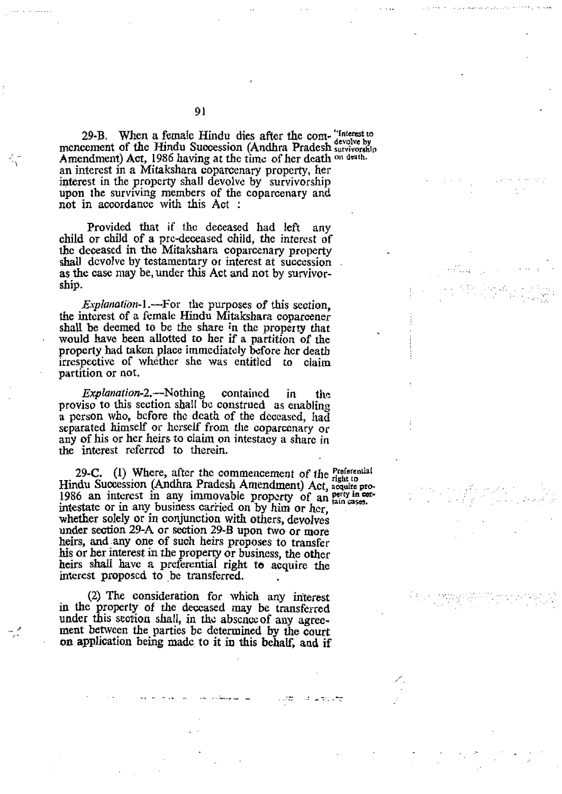29-B. When a female Hindu dies after the com-"Interest to mcncement of the Hindu Succession (Andhra Pradesh **survivorship** Amendment) Act, 1986 having at the time of her death on drath. **an interest** in *a* **Mitakshara** coparcenary property, her **interest** in **the property shall devalvc by survivorship upon the survivhg members of the coparcenary and**  not in **accordance** with **this Act** :

**Provided that if** the **deceased had left any child or child** of **a prc-deceased child, the** *intcrcst* **of**  the **deceased in** *the* **Mitakshara coparcenary property shall dcvolvc by testamentary or interest at succession as the case may be,** under **this Act and not by survivorship.** 

*ExpJot~ation-1.-For* the **purposes of this section,**  *the* **intcrest of** a **female Hindu Mitakshara coparcener shall be deemed to** be the **share in the property that would have been allotted to** her **if a partition of the property had taken place immediately before her death**  irrespective **of whkther she was entitled** *to* **claim partition** or **not.** 

*Explanation-2.*-Nothing contained in the **proviso to this section** shall bo **coustrued** as **enabling a pcrson who, before thc death of** the **dcocascd, ]lad**  separated himself or herself from the coparcenary or **any of his or her heirs** *to* **claim on intestacy a** share **in**  *the* **interest referred** to **therein.** 

**29-C.** (1) Where, after the commencement of the **Proferential** Hindu Succession (Andhra Pradesh Amendment) Act, acquire pro-1986 an interest in any immovable property of an perty in cer**intestate** *or* **in** any **business** carkied **on by** him **or her, wheiher solely** or **in conjunction** with **others, devolves**  under section 29-A or section 29-B upon two or more **heirs, and .any one of such heirs proposes to transfer**  his **or her interest in** *the* **propew or business, the** other **heirs** shd **have a preferential right to acquire the**  interest proposed to be transferred.

**(2) The consideration for which** any **hiterest in** the **property of** thc **based may be transferred under** this **section shalI,** in the abscncc **of** any **agreement behvcen the parties bc determined by** *the* **court on application being madc, to it in this behalf, and if** 

1972